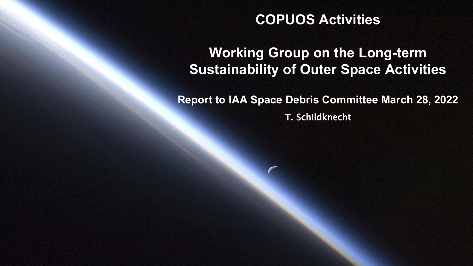### **COPUOS Activities**

### **Working Group on the Long-term Sustainability of Outer Space Activities**

**Report to IAA Space Debris Committee March 28, 2022** T. Schildknecht

Astronomical Institute University of Bern Astronomical Institute University of Bern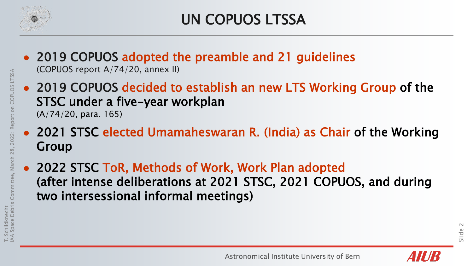

- 2019 COPUOS adopted the preamble and 21 guidelines (COPUOS report A/74/20, annex II)
- 2019 COPUOS decided to establish an new LTS Working Group of the STSC under a five-year workplan (A/74/20, para. 165)
- 2021 STSC elected Umamaheswaran R. (India) as Chair of the Working Group
- 2022 STSC ToR, Methods of Work, Work Plan adopted (after intense deliberations at 2021 STSC, 2021 COPUOS, and during two intersessional informal meetings)

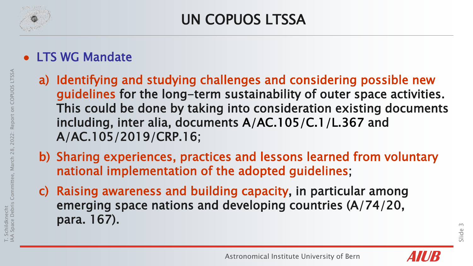

- LTS WG Mandate
	- a) Identifying and studying challenges and considering possible new guidelines for the long-term sustainability of outer space activities. This could be done by taking into consideration existing documents including, inter alia, documents A/AC.105/C.1/L.367 and A/AC.105/2019/CRP.16;
	- b) Sharing experiences, practices and lessons learned from voluntary national implementation of the adopted guidelines;
	- c) Raising awareness and building capacity, in particular among emerging space nations and developing countries (A/74/20, para. 167).

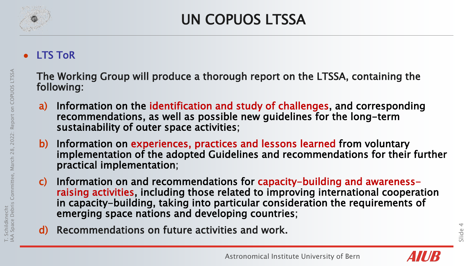

# UN COPUOS LTSSA

#### LTS ToR

- The Working Group will produce a thorough report on the LTSSA, containing the following:
- a) Information on the identification and study of challenges, and corresponding recommendations, as well as possible new guidelines for the long-term sustainability of outer space activities;
- b) Information on experiences, practices and lessons learned from voluntary implementation of the adopted Guidelines and recommendations for their further practical implementation;
- c) Information on and recommendations for capacity-building and awarenessraising activities, including those related to improving international cooperation in capacity-building, taking into particular consideration the requirements of emerging space nations and developing countries;
- d) Recommendations on future activities and work.